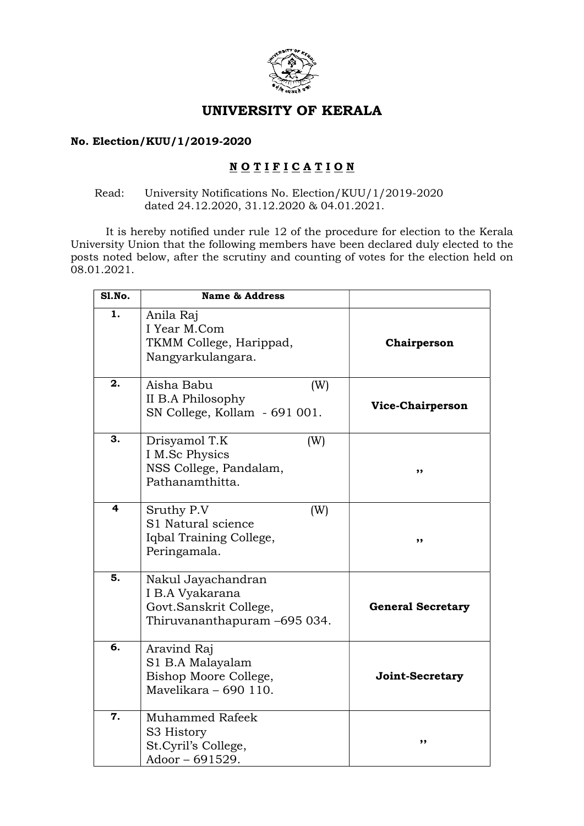

# UNIVERSITY OF KERALA

#### No. Election/KUU/1/2019-2020

## NOTIFICATION

#### Read: University Notifications No. Election/KUU/1/2019-2020 dated 24.12.2020, 31.12.2020 & 04.01.2021.

 It is hereby notified under rule 12 of the procedure for election to the Kerala University Union that the following members have been declared duly elected to the posts noted below, after the scrutiny and counting of votes for the election held on 08.01.2021.

| <b>S1.No.</b> | <b>Name &amp; Address</b>                                                                       |                          |
|---------------|-------------------------------------------------------------------------------------------------|--------------------------|
| 1.            | Anila Raj<br>I Year M.Com<br>TKMM College, Harippad,<br>Nangyarkulangara.                       | Chairperson              |
| 2.            | Aisha Babu<br>(W)<br>II B.A Philosophy<br>SN College, Kollam - 691 001.                         | Vice-Chairperson         |
| 3.            | Drisyamol T.K<br>(W)<br>I M.Sc Physics<br>NSS College, Pandalam,<br>Pathanamthitta.             | ,,                       |
| 4             | Sruthy P.V<br>(W)<br>S1 Natural science<br>Iqbal Training College,<br>Peringamala.              | ,,                       |
| 5.            | Nakul Jayachandran<br>I B.A Vyakarana<br>Govt.Sanskrit College,<br>Thiruvananthapuram -695 034. | <b>General Secretary</b> |
| 6.            | Aravind Raj<br>S1 B.A Malayalam<br>Bishop Moore College,<br>Mavelikara - 690 110.               | Joint-Secretary          |
| 7.            | <b>Muhammed Rafeek</b><br>S3 History<br>St. Cyril's College,<br>Adoor - 691529.                 | ,,                       |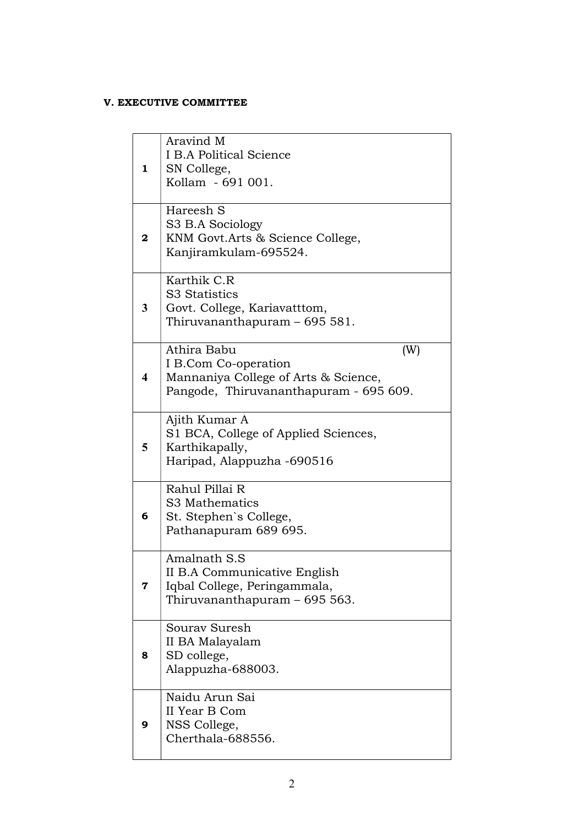#### V. EXECUTIVE COMMITTEE

| $\mathbf{1}$            | Aravind M<br>I B.A Political Science<br>SN College,<br>Kollam - 691 001.                                                     |
|-------------------------|------------------------------------------------------------------------------------------------------------------------------|
| 2                       | Hareesh S<br>S3 B.A Sociology<br>KNM Govt.Arts & Science College,<br>Kanjiramkulam-695524.                                   |
| 3                       | Karthik C.R<br>S3 Statistics<br>Govt. College, Kariavatttom,<br>Thiruvananthapuram – 695 581.                                |
| $\overline{\mathbf{4}}$ | Athira Babu<br>(W)<br>I B.Com Co-operation<br>Mannaniya College of Arts & Science,<br>Pangode, Thiruvananthapuram - 695 609. |
| 5                       | Ajith Kumar A<br>S1 BCA, College of Applied Sciences,<br>Karthikapally,<br>Haripad, Alappuzha -690516                        |
| 6                       | Rahul Pillai R<br>S3 Mathematics<br>St. Stephen's College,<br>Pathanapuram 689 695.                                          |
| 7                       | Amalnath S.S<br>II B.A Communicative English<br>Iqbal College, Peringammala,<br>Thiruvananthapuram - 695 563.                |
| 8                       | Souray Suresh<br>II BA Malayalam<br>SD college,<br>Alappuzha-688003.                                                         |
| 9                       | Naidu Arun Sai<br>II Year B Com<br>NSS College,<br>Cherthala-688556.                                                         |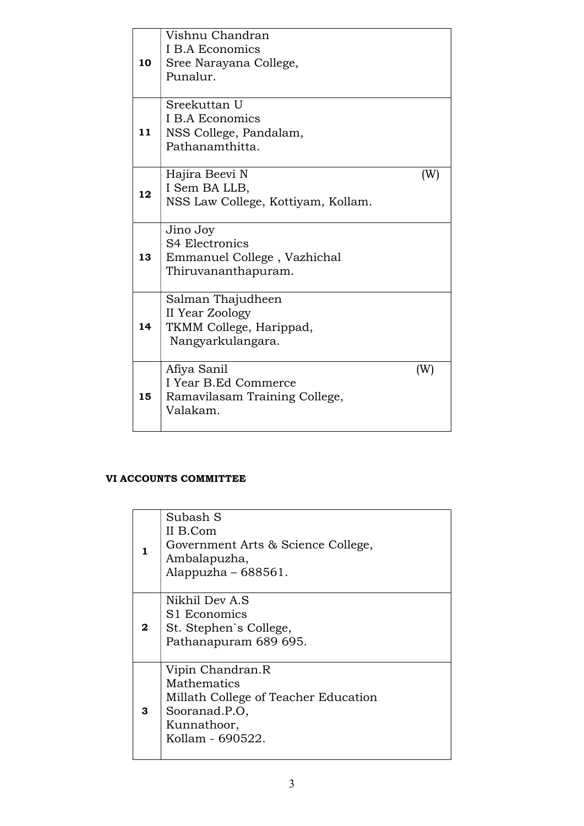| 10 | Vishnu Chandran<br><b>I B.A Economics</b><br>Sree Narayana College,<br>Punalur.         |     |
|----|-----------------------------------------------------------------------------------------|-----|
| 11 | Sreekuttan U<br><b>I B.A Economics</b><br>NSS College, Pandalam,<br>Pathanamthitta.     |     |
| 12 | Hajira Beevi N<br>I Sem BA LLB,<br>NSS Law College, Kottiyam, Kollam.                   | (W) |
| 13 | Jino Joy<br><b>S4 Electronics</b><br>Emmanuel College, Vazhichal<br>Thiruvananthapuram. |     |
| 14 | Salman Thajudheen<br>II Year Zoology<br>TKMM College, Harippad,<br>Nangyarkulangara.    |     |
| 15 | Afiya Sanil<br>I Year B.Ed Commerce<br>Ramavilasam Training College,<br>Valakam.        | (W) |

### VI ACCOUNTS COMMITTEE

| Government Arts & Science College,   |
|--------------------------------------|
|                                      |
| Millath College of Teacher Education |
|                                      |